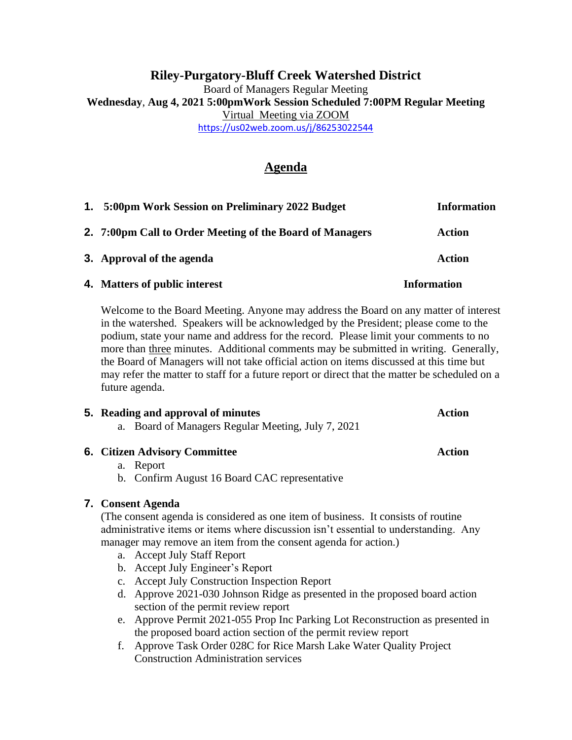# **Riley-Purgatory-Bluff Creek Watershed District** Board of Managers Regular Meeting **Wednesday**, **Aug 4, 2021 5:00pmWork Session Scheduled 7:00PM Regular Meeting** Virtual Meeting via ZOOM <https://us02web.zoom.us/j/86253022544>

# **Agenda**

| 1. 5:00pm Work Session on Preliminary 2022 Budget        | <b>Information</b> |
|----------------------------------------------------------|--------------------|
| 2. 7:00pm Call to Order Meeting of the Board of Managers | <b>Action</b>      |
| 3. Approval of the agenda                                | Action             |
| 4. Matters of public interest                            | <b>Information</b> |

Welcome to the Board Meeting. Anyone may address the Board on any matter of interest in the watershed. Speakers will be acknowledged by the President; please come to the podium, state your name and address for the record. Please limit your comments to no more than three minutes. Additional comments may be submitted in writing. Generally, the Board of Managers will not take official action on items discussed at this time but may refer the matter to staff for a future report or direct that the matter be scheduled on a future agenda.

# **5. Reading and approval of minutes Action** a. Board of Managers Regular Meeting, July 7, 2021

# **6. Citizen Advisory Committee Action**

# a. Report

b. Confirm August 16 Board CAC representative

# **7. Consent Agenda**

(The consent agenda is considered as one item of business. It consists of routine administrative items or items where discussion isn't essential to understanding. Any manager may remove an item from the consent agenda for action.)

- a. Accept July Staff Report
- b. Accept July Engineer's Report
- c. Accept July Construction Inspection Report
- d. Approve 2021-030 Johnson Ridge as presented in the proposed board action section of the permit review report
- e. Approve Permit 2021-055 Prop Inc Parking Lot Reconstruction as presented in the proposed board action section of the permit review report
- f. Approve Task Order 028C for Rice Marsh Lake Water Quality Project Construction Administration services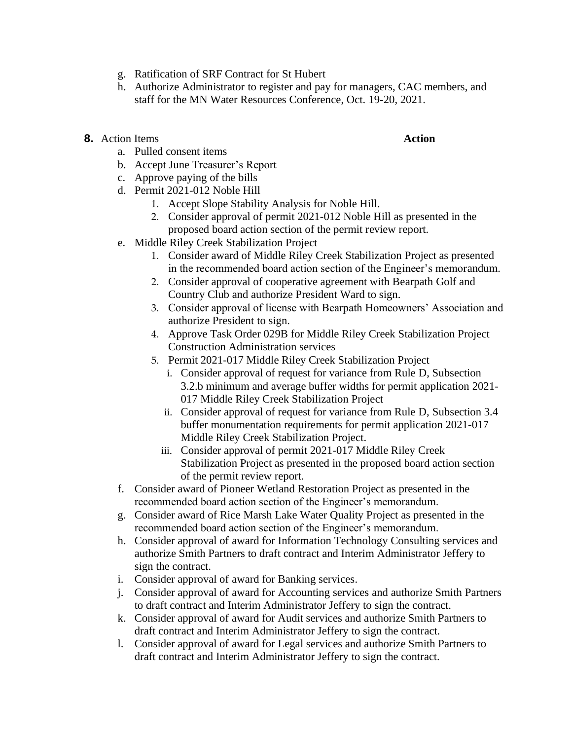- g. Ratification of SRF Contract for St Hubert
- h. Authorize Administrator to register and pay for managers, CAC members, and staff for the MN Water Resources Conference, Oct. 19-20, 2021.
- **8.** Action Items **Action Action Action** 
	- a. Pulled consent items
	- b. Accept June Treasurer's Report
	- c. Approve paying of the bills
	- d. Permit 2021-012 Noble Hill
		- 1. Accept Slope Stability Analysis for Noble Hill.
		- 2. Consider approval of permit 2021-012 Noble Hill as presented in the proposed board action section of the permit review report.
	- e. Middle Riley Creek Stabilization Project
		- 1. Consider award of Middle Riley Creek Stabilization Project as presented in the recommended board action section of the Engineer's memorandum.
		- 2. Consider approval of cooperative agreement with Bearpath Golf and Country Club and authorize President Ward to sign.
		- 3. Consider approval of license with Bearpath Homeowners' Association and authorize President to sign.
		- 4. Approve Task Order 029B for Middle Riley Creek Stabilization Project Construction Administration services
		- 5. Permit 2021-017 Middle Riley Creek Stabilization Project
			- i. Consider approval of request for variance from Rule D, Subsection 3.2.b minimum and average buffer widths for permit application 2021- 017 Middle Riley Creek Stabilization Project
			- ii. Consider approval of request for variance from Rule D, Subsection 3.4 buffer monumentation requirements for permit application 2021-017 Middle Riley Creek Stabilization Project.
			- iii. Consider approval of permit 2021-017 Middle Riley Creek Stabilization Project as presented in the proposed board action section of the permit review report.
	- f. Consider award of Pioneer Wetland Restoration Project as presented in the recommended board action section of the Engineer's memorandum.
	- g. Consider award of Rice Marsh Lake Water Quality Project as presented in the recommended board action section of the Engineer's memorandum.
	- h. Consider approval of award for Information Technology Consulting services and authorize Smith Partners to draft contract and Interim Administrator Jeffery to sign the contract.
	- i. Consider approval of award for Banking services.
	- j. Consider approval of award for Accounting services and authorize Smith Partners to draft contract and Interim Administrator Jeffery to sign the contract.
	- k. Consider approval of award for Audit services and authorize Smith Partners to draft contract and Interim Administrator Jeffery to sign the contract.
	- l. Consider approval of award for Legal services and authorize Smith Partners to draft contract and Interim Administrator Jeffery to sign the contract.